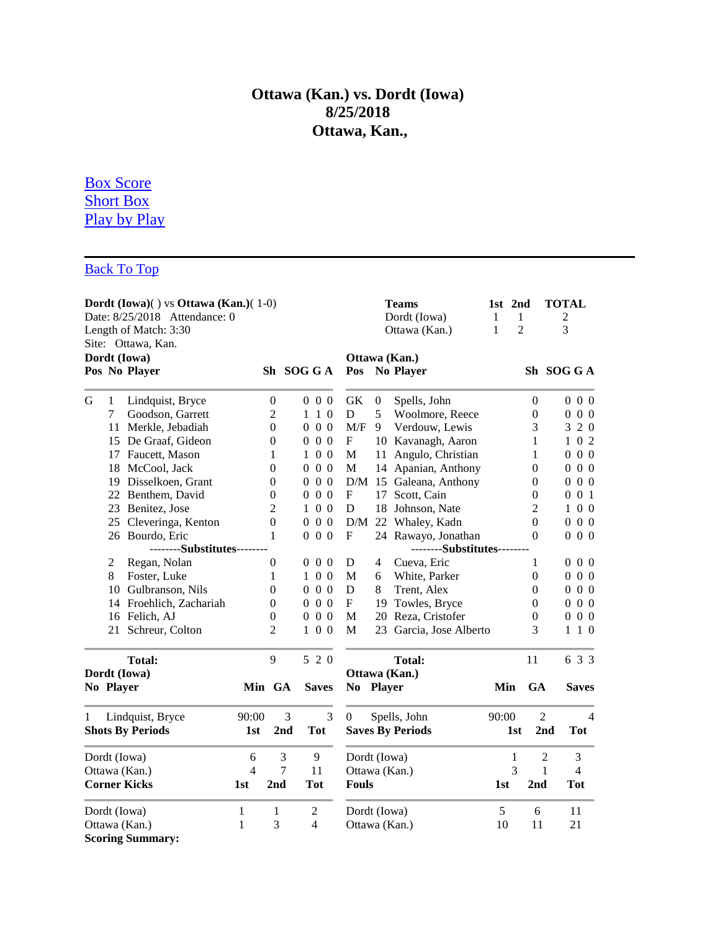# **Ottawa (Kan.) vs. Dordt (Iowa) 8/25/2018 Ottawa, Kan.,**

# [Box Score](http://www.dakstats.com/WebSync/Pages/GameBook/GameBookData.aspx?sg=MSO&compID=69698&sea=NAIMSO_2018#Box_Score) [Short Box](http://www.dakstats.com/WebSync/Pages/GameBook/GameBookData.aspx?sg=MSO&compID=69698&sea=NAIMSO_2018#Short_Box) [Play by Play](http://www.dakstats.com/WebSync/Pages/GameBook/GameBookData.aspx?sg=MSO&compID=69698&sea=NAIMSO_2018#Play_by_Play)

# [Back To Top](http://www.dakstats.com/WebSync/Pages/GameBook/GameBookData.aspx?sg=MSO&compID=69698&sea=NAIMSO_2018#TOP)

| Dordt (Iowa)() vs Ottawa (Kan.)(1-0)<br>Date: 8/25/2018 Attendance: 0<br>Length of Match: 3:30<br>Site: Ottawa, Kan. |                |                             |              |                  |                  |                                |                  | <b>Teams</b><br>Dordt (Iowa)<br>Ottawa (Kan.) | 1st 2nd<br>1<br>1              | 1<br>$\overline{2}$ | <b>TOTAL</b><br>2<br>3 |
|----------------------------------------------------------------------------------------------------------------------|----------------|-----------------------------|--------------|------------------|------------------|--------------------------------|------------------|-----------------------------------------------|--------------------------------|---------------------|------------------------|
|                                                                                                                      |                | Dordt (Iowa)                |              |                  |                  |                                |                  |                                               |                                |                     |                        |
|                                                                                                                      | Pos No Player  |                             |              | Sh SOG GA        |                  | Ottawa (Kan.)<br>Pos No Player |                  |                                               |                                |                     | Sh SOG GA              |
| G                                                                                                                    | $\mathbf{1}$   | Lindquist, Bryce            |              | $\boldsymbol{0}$ | $0\,0\,0$        | <b>GK</b>                      | $\boldsymbol{0}$ | Spells, John                                  |                                | $\boldsymbol{0}$    | $0\,0\,0$              |
|                                                                                                                      | $\overline{7}$ | Goodson, Garrett            |              | $\overline{2}$   | $1\quad1\quad0$  | D                              | 5                | Woolmore, Reece                               |                                | $\boldsymbol{0}$    | $0\,0\,0$              |
|                                                                                                                      |                | 11 Merkle, Jebadiah         |              | 0                | $0\,0\,0$        | M/F                            | 9                | Verdouw, Lewis                                |                                | 3                   | 3 2 0                  |
|                                                                                                                      |                | 15 De Graaf, Gideon         |              | $\boldsymbol{0}$ | $0\,0\,0$        | $\boldsymbol{\mathrm{F}}$      |                  | 10 Kavanagh, Aaron                            |                                | 1                   | 0 <sub>2</sub><br>1    |
|                                                                                                                      |                | 17 Faucett, Mason           |              | 1                | $1\ 0\ 0$        | M                              |                  | 11 Angulo, Christian                          |                                | 1                   | $0\,0\,0$              |
|                                                                                                                      | 18             | McCool, Jack                |              | $\theta$         | $0\,0\,0$        | $\mathbf M$                    |                  | 14 Apanian, Anthony                           |                                | $\theta$            | $0\;0\;0$              |
|                                                                                                                      |                | 19 Disselkoen, Grant        |              | 0                | $0\,0\,0$        |                                |                  | D/M 15 Galeana, Anthony                       |                                | $\boldsymbol{0}$    | $0\,0\,0$              |
|                                                                                                                      |                | 22 Benthem, David           |              | 0                | $0\,0\,0$        | $\boldsymbol{\mathrm{F}}$      |                  | 17 Scott, Cain                                |                                | $\theta$            | $0\,0\,1$              |
|                                                                                                                      | 23             | Benitez, Jose               |              | $\overline{2}$   | 100              | D                              |                  | 18 Johnson, Nate                              |                                | 2                   | 100                    |
|                                                                                                                      |                | 25 Cleveringa, Kenton       |              | $\boldsymbol{0}$ | $0\,0\,0$        | D/M                            |                  | 22 Whaley, Kadn                               |                                | $\boldsymbol{0}$    | $0\,0\,0$              |
|                                                                                                                      |                | 26 Bourdo, Eric             |              | $\mathbf{1}$     | $0\,0\,0$        | $\mathbf F$                    |                  | 24 Rawayo, Jonathan                           |                                | $\theta$            | $0\,0\,0$              |
|                                                                                                                      |                | --------Substitutes-------- |              |                  |                  | --------Substitutes-------     |                  |                                               |                                |                     |                        |
|                                                                                                                      | $\overline{2}$ | Regan, Nolan                |              | $\boldsymbol{0}$ | $0\,0\,0$        | D                              | $\overline{4}$   | Cueva, Eric                                   |                                | 1                   | $0\,0\,0$              |
|                                                                                                                      | 8              | Foster, Luke                |              | 1                | $1\ 0\ 0$        | M                              | 6                | White, Parker                                 |                                | $\overline{0}$      | $0\,0\,0$              |
|                                                                                                                      |                | 10 Gulbranson, Nils         |              | $\boldsymbol{0}$ | $0\,0\,0$        | D                              | 8                | Trent, Alex                                   |                                | $\theta$            | $0\;0\;0$              |
|                                                                                                                      |                | 14 Froehlich, Zachariah     |              | $\boldsymbol{0}$ | $0\,0\,0$        | $\boldsymbol{\mathrm{F}}$      |                  | 19 Towles, Bryce                              |                                | $\boldsymbol{0}$    | $0\,0\,0$              |
|                                                                                                                      |                | 16 Felich, AJ               |              | $\boldsymbol{0}$ | $0\,0\,0$        | $\mathbf M$                    |                  | 20 Reza, Cristofer                            |                                | $\boldsymbol{0}$    | $0\,0\,0$              |
|                                                                                                                      |                | 21 Schreur, Colton          |              | $\overline{2}$   | $1\ 0\ 0$        | M                              |                  | 23 Garcia, Jose Alberto                       |                                | 3                   | $1\;1\;0$              |
|                                                                                                                      |                | <b>Total:</b>               |              | 9                | 5 2 0            |                                |                  | <b>Total:</b>                                 |                                | 11                  | 6 3 3                  |
|                                                                                                                      |                | Dordt (Iowa)                |              |                  |                  |                                |                  | Ottawa (Kan.)                                 |                                |                     |                        |
|                                                                                                                      | No Player      |                             |              | Min GA           | <b>Saves</b>     | No Player                      |                  |                                               | Min                            | <b>GA</b>           | <b>Saves</b>           |
| 1                                                                                                                    |                | Lindquist, Bryce            | 90:00        | 3                | 3                | 0                              |                  | Spells, John                                  | 90:00                          |                     | 2<br>$\overline{4}$    |
|                                                                                                                      |                | <b>Shots By Periods</b>     | 1st          | 2 <sub>nd</sub>  | <b>Tot</b>       |                                |                  | <b>Saves By Periods</b>                       |                                | 1st                 | 2nd<br>Tot             |
| Dordt (Iowa)                                                                                                         |                | 6                           | 3            | 9                | Dordt (Iowa)     |                                |                  |                                               | 1                              | $\overline{c}$<br>3 |                        |
| Ottawa (Kan.)                                                                                                        |                | $\overline{4}$              | 7            | 11               | Ottawa (Kan.)    |                                |                  | 3                                             | $\mathbf{1}$<br>$\overline{4}$ |                     |                        |
| <b>Corner Kicks</b>                                                                                                  |                | 1st                         | 2nd          | <b>Tot</b>       | <b>Fouls</b>     |                                |                  | 1st                                           | 2nd                            | <b>Tot</b>          |                        |
| Dordt (Iowa)                                                                                                         |                |                             | 1            | $\mathbf{1}$     | $\boldsymbol{2}$ | Dordt (Iowa)                   |                  |                                               | 5                              | 6                   | 11                     |
| Ottawa (Kan.)<br><b>Scoring Summary:</b>                                                                             |                |                             | $\mathbf{1}$ | 3                | $\overline{4}$   | Ottawa (Kan.)                  |                  |                                               | 10                             | 11                  | 21                     |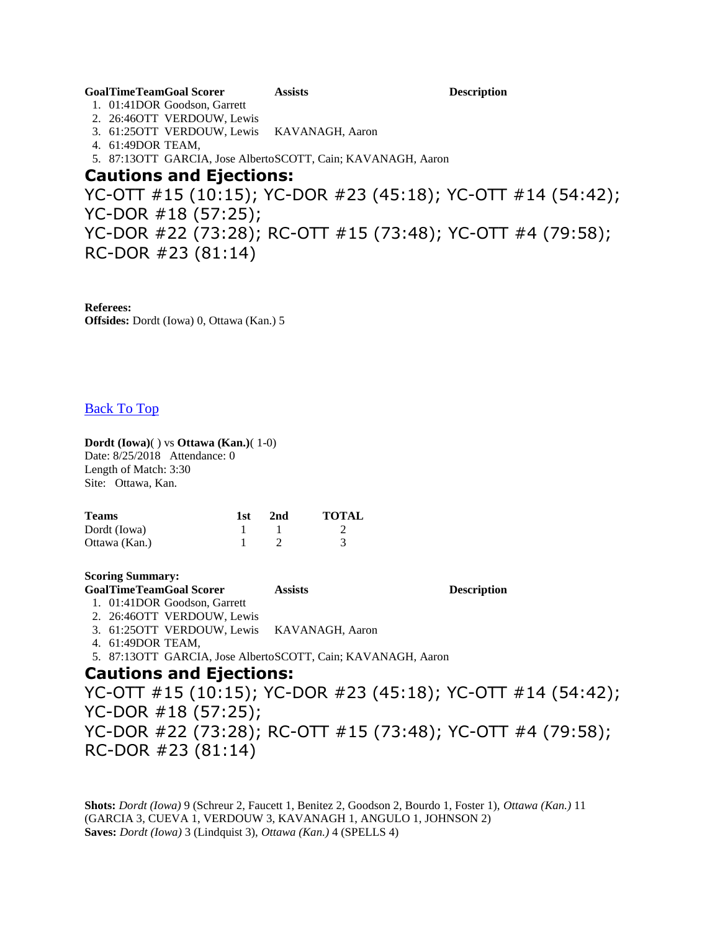#### **GoalTimeTeamGoal Scorer Assists Description**

1. 01:41DOR Goodson, Garrett 2. 26:46OTT VERDOUW, Lewis

- 3. 61:25OTT VERDOUW, Lewis KAVANAGH, Aaron
- 4. 61:49DOR TEAM,
- 5. 87:13OTT GARCIA, Jose AlbertoSCOTT, Cain; KAVANAGH, Aaron

## **Cautions and Ejections:**

YC-OTT #15 (10:15); YC-DOR #23 (45:18); YC-OTT #14 (54:42); YC-DOR #18 (57:25); YC-DOR #22 (73:28); RC-OTT #15 (73:48); YC-OTT #4 (79:58); RC-DOR #23 (81:14)

**Referees: Offsides:** Dordt (Iowa) 0, Ottawa (Kan.) 5

## [Back To Top](http://www.dakstats.com/WebSync/Pages/GameBook/GameBookData.aspx?sg=MSO&compID=69698&sea=NAIMSO_2018#TOP)

### **Dordt (Iowa)**( ) vs **Ottawa (Kan.)**( 1-0)

Date: 8/25/2018 Attendance: 0 Length of Match: 3:30 Site: Ottawa, Kan.

| <b>Teams</b>  | 1st | 2nd | <b>TOTAL</b> |
|---------------|-----|-----|--------------|
| Dordt (Iowa)  |     |     |              |
| Ottawa (Kan.) |     |     |              |

### **Scoring Summary:**

**GoalTimeTeamGoal Scorer Assists Description**

1. 01:41DOR Goodson, Garrett 2. 26:46OTT VERDOUW, Lewis

3. 61:25OTT VERDOUW, Lewis KAVANAGH, Aaron

4. 61:49DOR TEAM,

5. 87:13OTT GARCIA, Jose AlbertoSCOTT, Cain; KAVANAGH, Aaron

## **Cautions and Ejections:**

YC-OTT #15 (10:15); YC-DOR #23 (45:18); YC-OTT #14 (54:42); YC-DOR #18 (57:25); YC-DOR #22 (73:28); RC-OTT #15 (73:48); YC-OTT #4 (79:58); RC-DOR #23 (81:14)

**Shots:** *Dordt (Iowa)* 9 (Schreur 2, Faucett 1, Benitez 2, Goodson 2, Bourdo 1, Foster 1), *Ottawa (Kan.)* 11 (GARCIA 3, CUEVA 1, VERDOUW 3, KAVANAGH 1, ANGULO 1, JOHNSON 2) **Saves:** *Dordt (Iowa)* 3 (Lindquist 3), *Ottawa (Kan.)* 4 (SPELLS 4)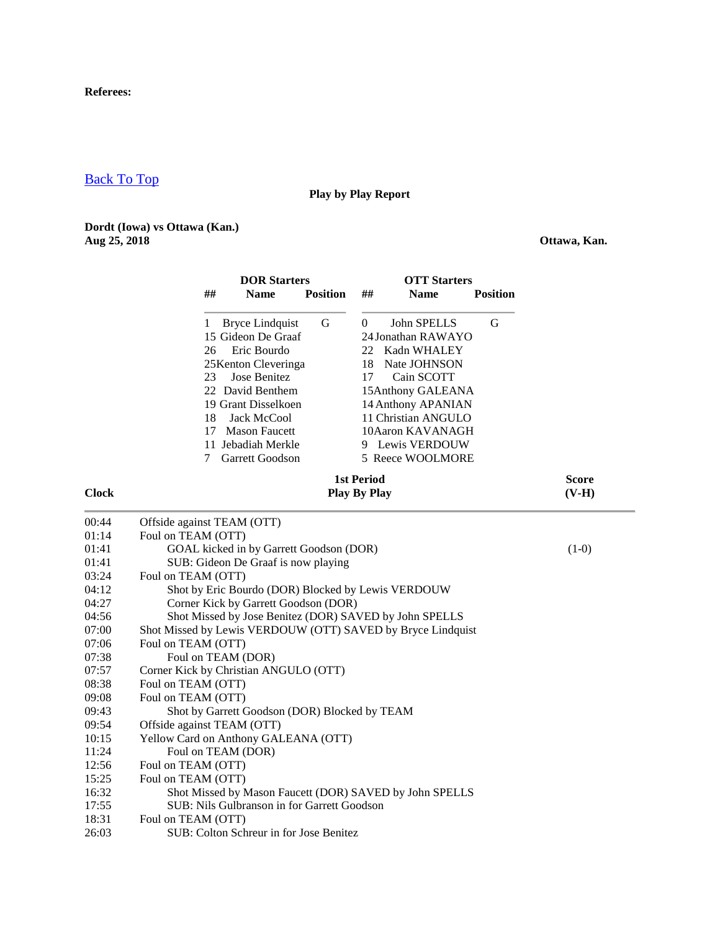### **Referees:**

## [Back To Top](http://www.dakstats.com/WebSync/Pages/GameBook/GameBookData.aspx?sg=MSO&compID=69698&sea=NAIMSO_2018#TOP)

 $00:44$  $01:14$ <br> $01:41$ 

 $01:41$ 03:24

 $07:06$ 07:38  $07:57$ 08:38  $09:08$ <br> $09:43$ 

 $09:54$ 

 $11:24$  $12:56$  $15:25$ <br> $16:32$ 

 $18:31$ <br> $26:03$ 

## **Play by Play Report**

### **Dordt (Iowa) vs Ottawa (Kan.) Aug 25, 2018 Ottawa, Kan.**

|              | <b>DOR Starters</b><br><b>OTT Starters</b><br><b>Position</b><br>##<br><b>Name</b><br>##<br><b>Name</b>                                                                                                                                                                                                                                                                                                                                                                                                                  | <b>Position</b>         |
|--------------|--------------------------------------------------------------------------------------------------------------------------------------------------------------------------------------------------------------------------------------------------------------------------------------------------------------------------------------------------------------------------------------------------------------------------------------------------------------------------------------------------------------------------|-------------------------|
|              | <b>Bryce Lindquist</b><br>$\mathbf G$<br>John SPELLS<br>$\overline{0}$<br>1<br>15 Gideon De Graaf<br>24 Jonathan RAWAYO<br>Eric Bourdo<br>26<br>22<br>Kadn WHALEY<br>25 Kenton Cleveringa<br>Nate JOHNSON<br>18<br>Jose Benitez<br>23<br>17<br>Cain SCOTT<br>22 David Benthem<br>15Anthony GALEANA<br>19 Grant Disselkoen<br>14 Anthony APANIAN<br>Jack McCool<br>11 Christian ANGULO<br>18<br>17 Mason Faucett<br>10Aaron KAVANAGH<br>11 Jebadiah Merkle<br>9 Lewis VERDOUW<br>7<br>Garrett Goodson<br>5 Reece WOOLMORE | G                       |
| <b>Clock</b> | <b>1st Period</b><br><b>Play By Play</b>                                                                                                                                                                                                                                                                                                                                                                                                                                                                                 | <b>Score</b><br>$(V-H)$ |
| 00:44        | Offside against TEAM (OTT)                                                                                                                                                                                                                                                                                                                                                                                                                                                                                               |                         |
| 01:14        | Foul on TEAM (OTT)                                                                                                                                                                                                                                                                                                                                                                                                                                                                                                       |                         |
| 01:41        | GOAL kicked in by Garrett Goodson (DOR)                                                                                                                                                                                                                                                                                                                                                                                                                                                                                  | $(1-0)$                 |
| 01:41        | SUB: Gideon De Graaf is now playing                                                                                                                                                                                                                                                                                                                                                                                                                                                                                      |                         |
| 03:24        | Foul on TEAM (OTT)                                                                                                                                                                                                                                                                                                                                                                                                                                                                                                       |                         |
| 04:12        | Shot by Eric Bourdo (DOR) Blocked by Lewis VERDOUW                                                                                                                                                                                                                                                                                                                                                                                                                                                                       |                         |
| 04:27        | Corner Kick by Garrett Goodson (DOR)                                                                                                                                                                                                                                                                                                                                                                                                                                                                                     |                         |
| 04:56        | Shot Missed by Jose Benitez (DOR) SAVED by John SPELLS                                                                                                                                                                                                                                                                                                                                                                                                                                                                   |                         |
| 07:00        | Shot Missed by Lewis VERDOUW (OTT) SAVED by Bryce Lindquist                                                                                                                                                                                                                                                                                                                                                                                                                                                              |                         |
| 07:06        | Foul on TEAM (OTT)                                                                                                                                                                                                                                                                                                                                                                                                                                                                                                       |                         |
| 07:38        | Foul on TEAM (DOR)                                                                                                                                                                                                                                                                                                                                                                                                                                                                                                       |                         |
| 07:57        | Corner Kick by Christian ANGULO (OTT)                                                                                                                                                                                                                                                                                                                                                                                                                                                                                    |                         |
| 08:38        | Foul on TEAM (OTT)                                                                                                                                                                                                                                                                                                                                                                                                                                                                                                       |                         |
| 09:08        | Foul on TEAM (OTT)                                                                                                                                                                                                                                                                                                                                                                                                                                                                                                       |                         |
| 09:43        | Shot by Garrett Goodson (DOR) Blocked by TEAM                                                                                                                                                                                                                                                                                                                                                                                                                                                                            |                         |
| 09:54        | Offside against TEAM (OTT)                                                                                                                                                                                                                                                                                                                                                                                                                                                                                               |                         |
| 10:15        | Yellow Card on Anthony GALEANA (OTT)                                                                                                                                                                                                                                                                                                                                                                                                                                                                                     |                         |
| 11:24        | Foul on TEAM (DOR)                                                                                                                                                                                                                                                                                                                                                                                                                                                                                                       |                         |
| 12:56        | Foul on TEAM (OTT)                                                                                                                                                                                                                                                                                                                                                                                                                                                                                                       |                         |
| 15:25        | Foul on TEAM (OTT)                                                                                                                                                                                                                                                                                                                                                                                                                                                                                                       |                         |
| 16:32        | Shot Missed by Mason Faucett (DOR) SAVED by John SPELLS                                                                                                                                                                                                                                                                                                                                                                                                                                                                  |                         |
| 17:55        | SUB: Nils Gulbranson in for Garrett Goodson                                                                                                                                                                                                                                                                                                                                                                                                                                                                              |                         |
| 18:31        | Foul on TEAM (OTT)                                                                                                                                                                                                                                                                                                                                                                                                                                                                                                       |                         |
| 26:03        | SUB: Colton Schreur in for Jose Benitez                                                                                                                                                                                                                                                                                                                                                                                                                                                                                  |                         |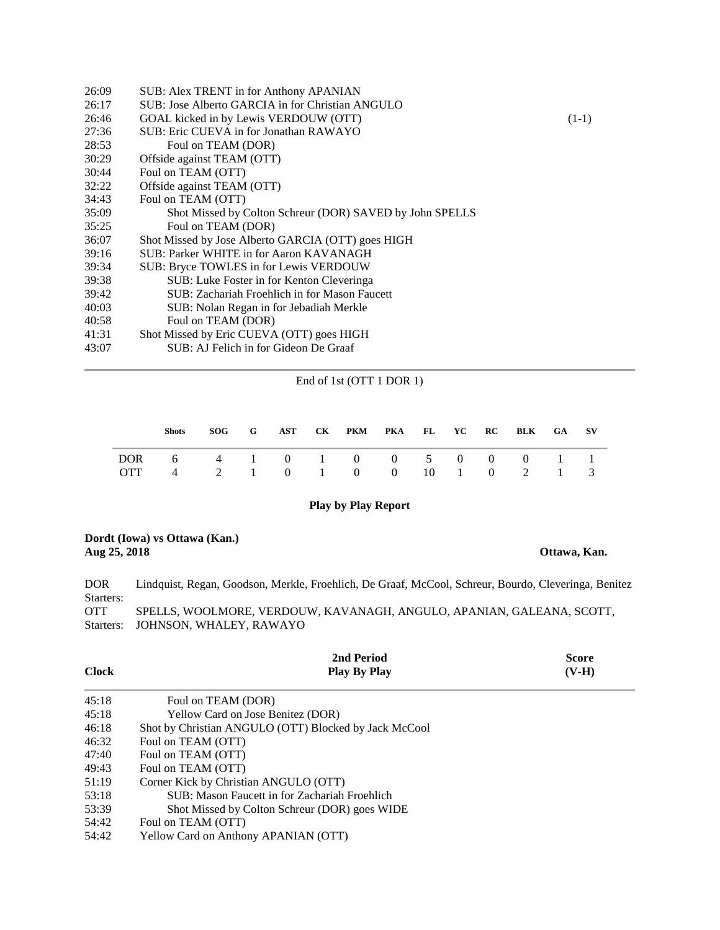| 26:09 | SUB: Alex TRENT in for Anthony APANIAN                   |         |
|-------|----------------------------------------------------------|---------|
| 26:17 | SUB: Jose Alberto GARCIA in for Christian ANGULO         |         |
| 26:46 | GOAL kicked in by Lewis VERDOUW (OTT)                    | $(1-1)$ |
| 27:36 | SUB: Eric CUEVA in for Jonathan RAWAYO                   |         |
| 28:53 | Foul on TEAM (DOR)                                       |         |
| 30:29 | Offside against TEAM (OTT)                               |         |
| 30:44 | Foul on TEAM (OTT)                                       |         |
| 32:22 | Offside against TEAM (OTT)                               |         |
| 34:43 | Foul on TEAM (OTT)                                       |         |
| 35:09 | Shot Missed by Colton Schreur (DOR) SAVED by John SPELLS |         |
| 35:25 | Foul on TEAM (DOR)                                       |         |
| 36:07 | Shot Missed by Jose Alberto GARCIA (OTT) goes HIGH       |         |
| 39:16 | SUB: Parker WHITE in for Aaron KAVANAGH                  |         |
| 39:34 | SUB: Bryce TOWLES in for Lewis VERDOUW                   |         |
| 39:38 | SUB: Luke Foster in for Kenton Cleveringa                |         |
| 39:42 | SUB: Zachariah Froehlich in for Mason Faucett            |         |
| 40:03 | SUB: Nolan Regan in for Jebadiah Merkle                  |         |
| 40:58 | Foul on TEAM (DOR)                                       |         |
| 41:31 | Shot Missed by Eric CUEVA (OTT) goes HIGH                |         |
| 43:07 | SUB: AJ Felich in for Gideon De Graaf                    |         |
|       |                                                          |         |

#### End of 1st (OTT 1 DOR 1)

| <b>Shots</b>                                                    |  |  | SOG G AST CK PKM PKA FL YC RC BLK GA SV |  |  |  |  |
|-----------------------------------------------------------------|--|--|-----------------------------------------|--|--|--|--|
| DOR 6 4 1 0 1 0 0 5 0 0 0 1 1<br>OTT 4 2 1 0 1 0 0 10 1 0 2 1 3 |  |  |                                         |  |  |  |  |

#### **Play by Play Report**

#### **Dordt (Iowa) vs Ottawa (Kan.) Aug 25, 2018 Ottawa, Kan.**

DOR Starters: Lindquist, Regan, Goodson, Merkle, Froehlich, De Graaf, McCool, Schreur, Bourdo, Cleveringa, Benitez OTT Starters: JOHNSON, WHALEY, RAWAYO SPELLS, WOOLMORE, VERDOUW, KAVANAGH, ANGULO, APANIAN, GALEANA, SCOTT,

|              | 2nd Period                                            | <b>Score</b> |
|--------------|-------------------------------------------------------|--------------|
| <b>Clock</b> | <b>Play By Play</b>                                   | $(V-H)$      |
| 45:18        | Foul on TEAM (DOR)                                    |              |
| 45:18        | Yellow Card on Jose Benitez (DOR)                     |              |
| 46:18        | Shot by Christian ANGULO (OTT) Blocked by Jack McCool |              |
| 46:32        | Foul on TEAM (OTT)                                    |              |
| 47:40        | Foul on TEAM (OTT)                                    |              |
| 49:43        | Foul on TEAM (OTT)                                    |              |
| 51:19        | Corner Kick by Christian ANGULO (OTT)                 |              |
| 53:18        | SUB: Mason Faucett in for Zachariah Froehlich         |              |
| 53:39        | Shot Missed by Colton Schreur (DOR) goes WIDE         |              |
| 54:42        | Foul on TEAM (OTT)                                    |              |
| 54:42        | Yellow Card on Anthony APANIAN (OTT)                  |              |